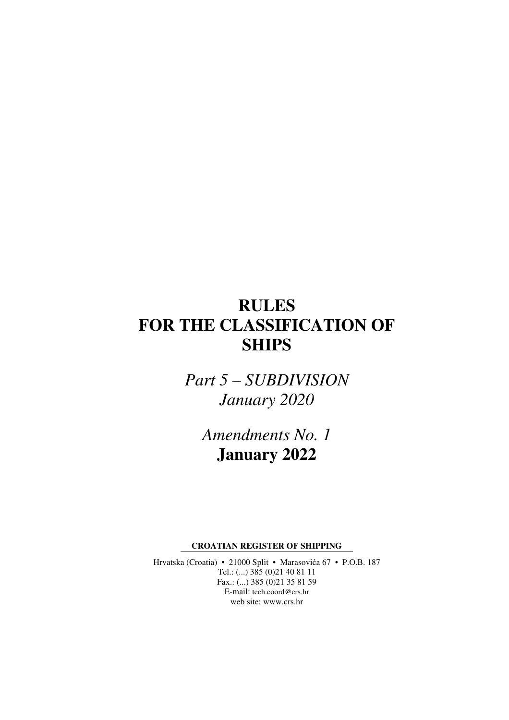# **RULES FOR THE CLASSIFICATION OF SHIPS**

*Part 5 – SUBDIVISION January 2020* 

*Amendments No. 1*  **January 2022** 

**CROATIAN REGISTER OF SHIPPING** 

Hrvatska (Croatia) • 21000 Split • Marasovića 67 • P.O.B. 187 Tel.: (...) 385 (0)21 40 81 11 Fax.: (...) 385 (0)21 35 81 59 E-mail: tech.coord@crs.hr web site: www.crs.hr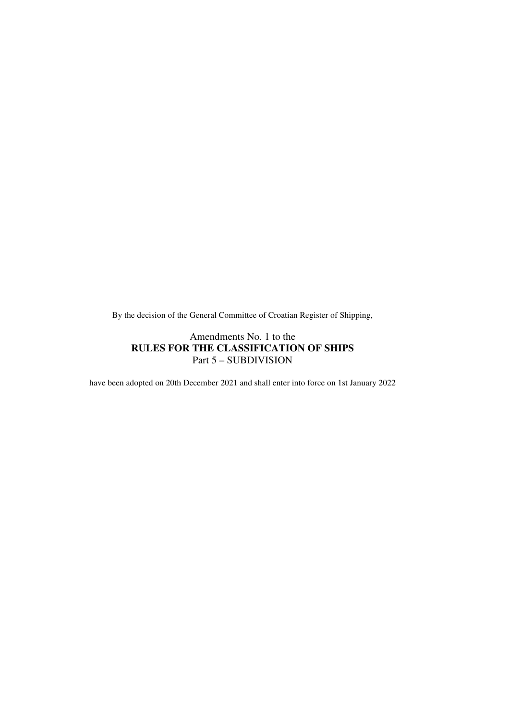By the decision of the General Committee of Croatian Register of Shipping,

### Amendments No. 1 to the **RULES FOR THE CLASSIFICATION OF SHIPS**  Part 5 – SUBDIVISION

have been adopted on 20th December 2021 and shall enter into force on 1st January 2022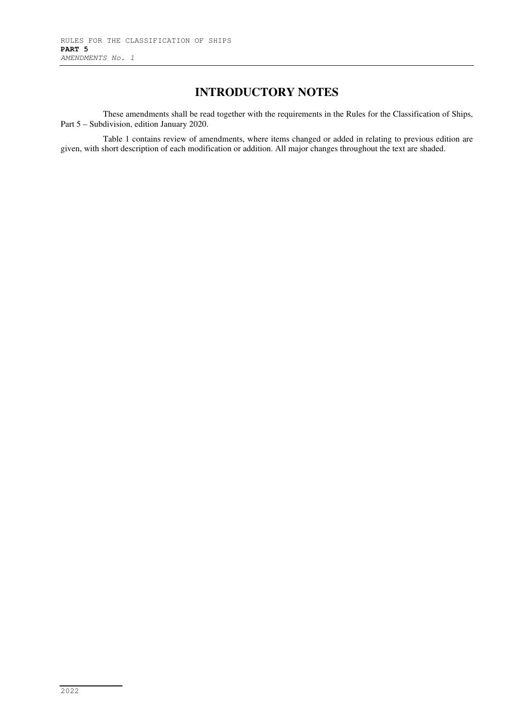## **INTRODUCTORY NOTES**

These amendments shall be read together with the requirements in the Rules for the Classification of Ships, Part 5 – Subdivision, edition January 2020.

Table 1 contains review of amendments, where items changed or added in relating to previous edition are given, with short description of each modification or addition. All major changes throughout the text are shaded.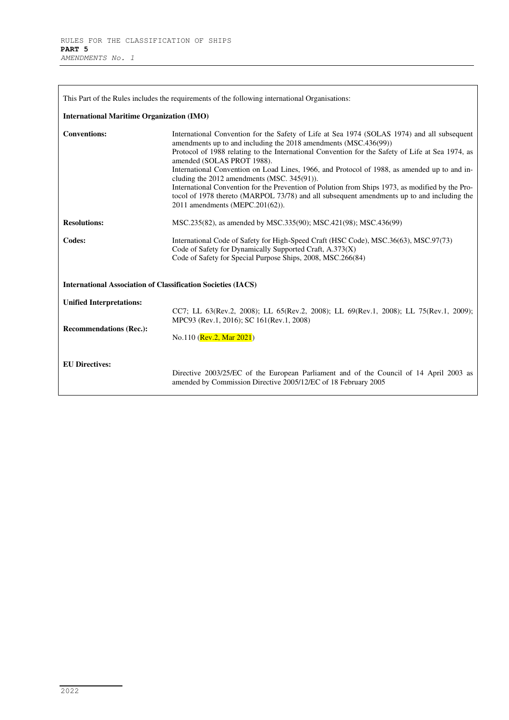| This Part of the Rules includes the requirements of the following international Organisations: |                                                                                                                                                                                                                                                                                                                                                                                                                                                                                                                                                                                                                                                                                       |  |
|------------------------------------------------------------------------------------------------|---------------------------------------------------------------------------------------------------------------------------------------------------------------------------------------------------------------------------------------------------------------------------------------------------------------------------------------------------------------------------------------------------------------------------------------------------------------------------------------------------------------------------------------------------------------------------------------------------------------------------------------------------------------------------------------|--|
| <b>International Maritime Organization (IMO)</b>                                               |                                                                                                                                                                                                                                                                                                                                                                                                                                                                                                                                                                                                                                                                                       |  |
| <b>Conventions:</b>                                                                            | International Convention for the Safety of Life at Sea 1974 (SOLAS 1974) and all subsequent<br>amendments up to and including the 2018 amendments (MSC.436(99))<br>Protocol of 1988 relating to the International Convention for the Safety of Life at Sea 1974, as<br>amended (SOLAS PROT 1988).<br>International Convention on Load Lines, 1966, and Protocol of 1988, as amended up to and in-<br>cluding the 2012 amendments (MSC. 345(91)).<br>International Convention for the Prevention of Polution from Ships 1973, as modified by the Pro-<br>tocol of 1978 thereto (MARPOL 73/78) and all subsequent amendments up to and including the<br>2011 amendments (MEPC.201(62)). |  |
| <b>Resolutions:</b>                                                                            | MSC.235(82), as amended by MSC.335(90); MSC.421(98); MSC.436(99)                                                                                                                                                                                                                                                                                                                                                                                                                                                                                                                                                                                                                      |  |
| Codes:                                                                                         | International Code of Safety for High-Speed Craft (HSC Code), MSC.36(63), MSC.97(73)<br>Code of Safety for Dynamically Supported Craft, A.373(X)<br>Code of Safety for Special Purpose Ships, 2008, MSC.266(84)                                                                                                                                                                                                                                                                                                                                                                                                                                                                       |  |
| <b>International Association of Classification Societies (IACS)</b>                            |                                                                                                                                                                                                                                                                                                                                                                                                                                                                                                                                                                                                                                                                                       |  |
| <b>Unified Interpretations:</b>                                                                | CC7; LL 63(Rev.2, 2008); LL 65(Rev.2, 2008); LL 69(Rev.1, 2008); LL 75(Rev.1, 2009);<br>MPC93 (Rev.1, 2016); SC 161(Rev.1, 2008)                                                                                                                                                                                                                                                                                                                                                                                                                                                                                                                                                      |  |
| <b>Recommendations (Rec.):</b>                                                                 | No.110 (Rev.2, Mar 2021)                                                                                                                                                                                                                                                                                                                                                                                                                                                                                                                                                                                                                                                              |  |
| <b>EU Directives:</b>                                                                          | Directive 2003/25/EC of the European Parliament and of the Council of 14 April 2003 as<br>amended by Commission Directive 2005/12/EC of 18 February 2005                                                                                                                                                                                                                                                                                                                                                                                                                                                                                                                              |  |

٠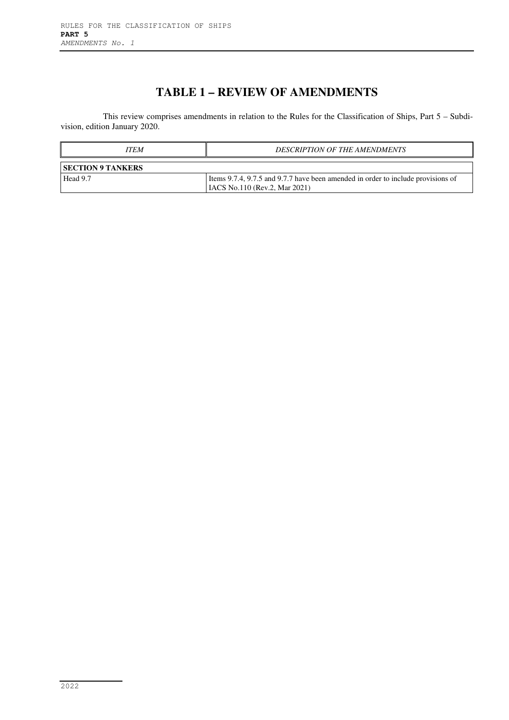# **TABLE 1 – REVIEW OF AMENDMENTS**

This review comprises amendments in relation to the Rules for the Classification of Ships, Part 5 – Subdivision, edition January 2020.

| <b>ITEM</b>              | <b>DESCRIPTION OF THE AMENDMENTS</b>                                                                                     |  |
|--------------------------|--------------------------------------------------------------------------------------------------------------------------|--|
| <b>SECTION 9 TANKERS</b> |                                                                                                                          |  |
| Head 9.7                 | Items 9.7.4, 9.7.5 and 9.7.7 have been amended in order to include provisions of<br><b>IACS</b> No.110 (Rev.2, Mar 2021) |  |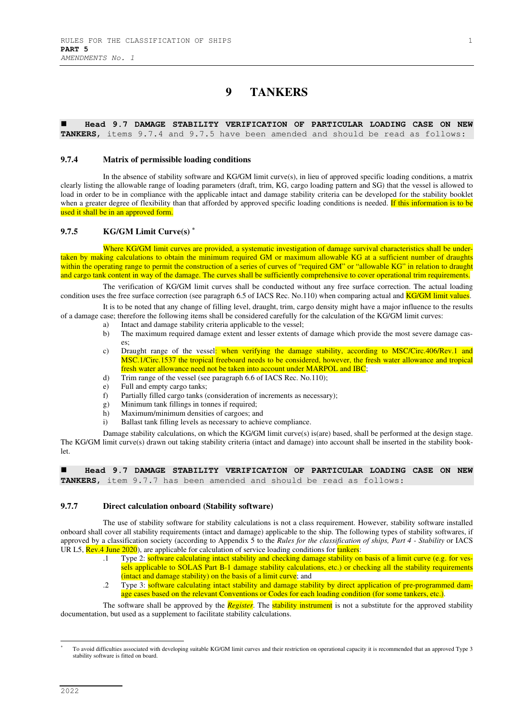### **9 TANKERS**

 **Head 9.7 DAMAGE STABILITY VERIFICATION OF PARTICULAR LOADING CASE ON NEW TANKERS**, items 9.7.4 and 9.7.5 have been amended and should be read as follows:

### **9.7.4 Matrix of permissible loading conditions**

In the absence of stability software and KG/GM limit curve(s), in lieu of approved specific loading conditions, a matrix clearly listing the allowable range of loading parameters (draft, trim, KG, cargo loading pattern and SG) that the vessel is allowed to load in order to be in compliance with the applicable intact and damage stability criteria can be developed for the stability booklet when a greater degree of flexibility than that afforded by approved specific loading conditions is needed. If this information is to be used it shall be in an approved form.

### **9.7.5 KG/GM Limit Curve(s) \***

Where KG/GM limit curves are provided, a systematic investigation of damage survival characteristics shall be undertaken by making calculations to obtain the minimum required GM or maximum allowable KG at a sufficient number of draughts within the operating range to permit the construction of a series of curves of "required GM" or "allowable KG" in relation to draught and cargo tank content in way of the damage. The curves shall be sufficiently comprehensive to cover operational trim requirements.

The verification of KG/GM limit curves shall be conducted without any free surface correction. The actual loading condition uses the free surface correction (see paragraph 6.5 of IACS Rec. No.110) when comparing actual and **KG/GM limit values**.

It is to be noted that any change of filling level, draught, trim, cargo density might have a major influence to the results of a damage case; therefore the following items shall be considered carefully for the calculation of the KG/GM limit curves:

- a) Intact and damage stability criteria applicable to the vessel;
- b) The maximum required damage extent and lesser extents of damage which provide the most severe damage cases;
- c) Draught range of the vessel: when verifying the damage stability, according to MSC/Circ.406/Rev.1 and MSC.1/Circ.1537 the tropical freeboard needs to be considered, however, the fresh water allowance and tropical fresh water allowance need not be taken into account under MARPOL and IBC;
- d) Trim range of the vessel (see paragraph 6.6 of IACS Rec. No.110);<br>e) Full and empty cargo tanks:
- Full and empty cargo tanks;
- f) Partially filled cargo tanks (consideration of increments as necessary);
- g) Minimum tank fillings in tonnes if required;
- h) Maximum/minimum densities of cargoes; and
- i) Ballast tank filling levels as necessary to achieve compliance.

Damage stability calculations, on which the KG/GM limit curve(s) is(are) based, shall be performed at the design stage. The KG/GM limit curve(s) drawn out taking stability criteria (intact and damage) into account shall be inserted in the stability booklet.

 **Head 9.7 DAMAGE STABILITY VERIFICATION OF PARTICULAR LOADING CASE ON NEW TANKERS**, item 9.7.7 has been amended and should be read as follows:

#### **9.7.7 Direct calculation onboard (Stability software)**

The use of stability software for stability calculations is not a class requirement. However, stability software installed onboard shall cover all stability requirements (intact and damage) applicable to the ship. The following types of stability softwares, if approved by a classification society (according to Appendix 5 to the *Rules for the classification of ships, Part 4 - Stability* or IACS UR L5, **Rev.4 June 2020**), are applicable for calculation of service loading conditions for **tankers**:

- .1 Type 2: software calculating intact stability and checking damage stability on basis of a limit curve (e.g. for vessels applicable to SOLAS Part B-1 damage stability calculations, etc.) or checking all the stability requirements (intact and damage stability) on the basis of a limit curve; and
- .2 Type 3: software calculating intact stability and damage stability by direct application of pre-programmed damage cases based on the relevant Conventions or Codes for each loading condition (for some tankers, etc.).

The software shall be approved by the *Register*. The stability instrument is not a substitute for the approved stability documentation, but used as a supplement to facilitate stability calculations.

To avoid difficulties associated with developing suitable KG/GM limit curves and their restriction on operational capacity it is recommended that an approved Type 3 stability software is fitted on board.